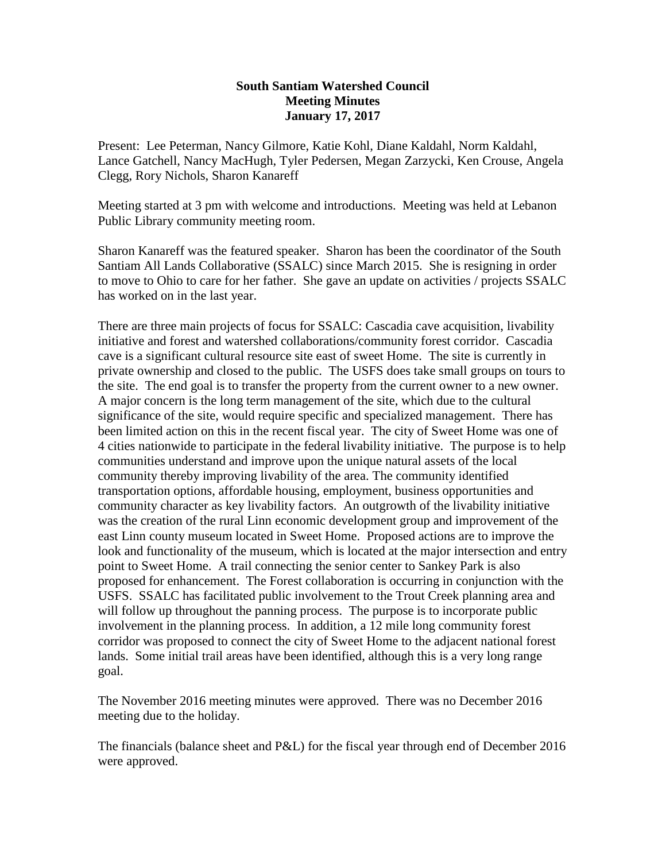## **South Santiam Watershed Council Meeting Minutes January 17, 2017**

Present: Lee Peterman, Nancy Gilmore, Katie Kohl, Diane Kaldahl, Norm Kaldahl, Lance Gatchell, Nancy MacHugh, Tyler Pedersen, Megan Zarzycki, Ken Crouse, Angela Clegg, Rory Nichols, Sharon Kanareff

Meeting started at 3 pm with welcome and introductions. Meeting was held at Lebanon Public Library community meeting room.

Sharon Kanareff was the featured speaker. Sharon has been the coordinator of the South Santiam All Lands Collaborative (SSALC) since March 2015. She is resigning in order to move to Ohio to care for her father. She gave an update on activities / projects SSALC has worked on in the last year.

There are three main projects of focus for SSALC: Cascadia cave acquisition, livability initiative and forest and watershed collaborations/community forest corridor. Cascadia cave is a significant cultural resource site east of sweet Home. The site is currently in private ownership and closed to the public. The USFS does take small groups on tours to the site. The end goal is to transfer the property from the current owner to a new owner. A major concern is the long term management of the site, which due to the cultural significance of the site, would require specific and specialized management. There has been limited action on this in the recent fiscal year. The city of Sweet Home was one of 4 cities nationwide to participate in the federal livability initiative. The purpose is to help communities understand and improve upon the unique natural assets of the local community thereby improving livability of the area. The community identified transportation options, affordable housing, employment, business opportunities and community character as key livability factors. An outgrowth of the livability initiative was the creation of the rural Linn economic development group and improvement of the east Linn county museum located in Sweet Home. Proposed actions are to improve the look and functionality of the museum, which is located at the major intersection and entry point to Sweet Home. A trail connecting the senior center to Sankey Park is also proposed for enhancement. The Forest collaboration is occurring in conjunction with the USFS. SSALC has facilitated public involvement to the Trout Creek planning area and will follow up throughout the panning process. The purpose is to incorporate public involvement in the planning process. In addition, a 12 mile long community forest corridor was proposed to connect the city of Sweet Home to the adjacent national forest lands. Some initial trail areas have been identified, although this is a very long range goal.

The November 2016 meeting minutes were approved. There was no December 2016 meeting due to the holiday.

The financials (balance sheet and P&L) for the fiscal year through end of December 2016 were approved.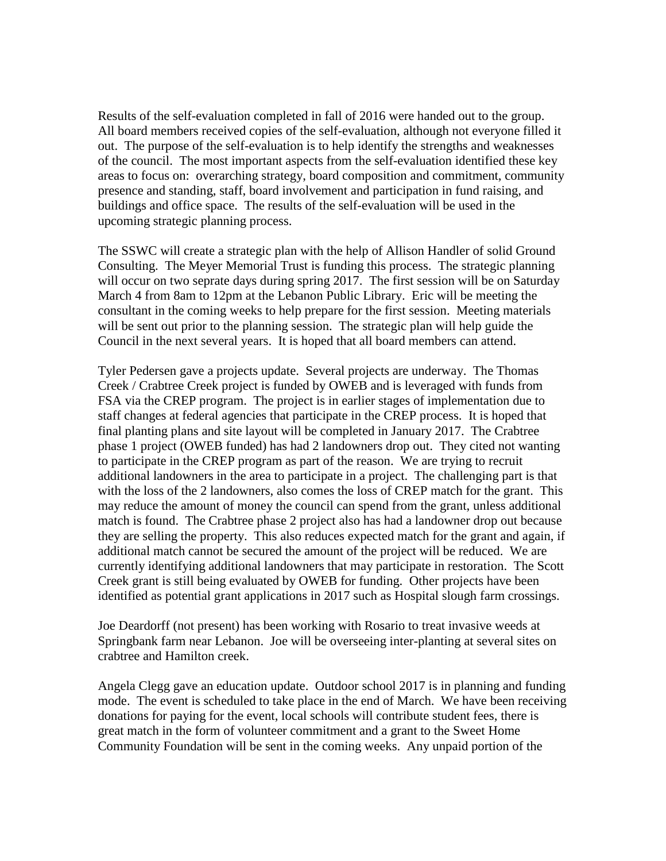Results of the self-evaluation completed in fall of 2016 were handed out to the group. All board members received copies of the self-evaluation, although not everyone filled it out. The purpose of the self-evaluation is to help identify the strengths and weaknesses of the council. The most important aspects from the self-evaluation identified these key areas to focus on: overarching strategy, board composition and commitment, community presence and standing, staff, board involvement and participation in fund raising, and buildings and office space. The results of the self-evaluation will be used in the upcoming strategic planning process.

The SSWC will create a strategic plan with the help of Allison Handler of solid Ground Consulting. The Meyer Memorial Trust is funding this process. The strategic planning will occur on two seprate days during spring 2017. The first session will be on Saturday March 4 from 8am to 12pm at the Lebanon Public Library. Eric will be meeting the consultant in the coming weeks to help prepare for the first session. Meeting materials will be sent out prior to the planning session. The strategic plan will help guide the Council in the next several years. It is hoped that all board members can attend.

Tyler Pedersen gave a projects update. Several projects are underway. The Thomas Creek / Crabtree Creek project is funded by OWEB and is leveraged with funds from FSA via the CREP program. The project is in earlier stages of implementation due to staff changes at federal agencies that participate in the CREP process. It is hoped that final planting plans and site layout will be completed in January 2017. The Crabtree phase 1 project (OWEB funded) has had 2 landowners drop out. They cited not wanting to participate in the CREP program as part of the reason. We are trying to recruit additional landowners in the area to participate in a project. The challenging part is that with the loss of the 2 landowners, also comes the loss of CREP match for the grant. This may reduce the amount of money the council can spend from the grant, unless additional match is found. The Crabtree phase 2 project also has had a landowner drop out because they are selling the property. This also reduces expected match for the grant and again, if additional match cannot be secured the amount of the project will be reduced. We are currently identifying additional landowners that may participate in restoration. The Scott Creek grant is still being evaluated by OWEB for funding. Other projects have been identified as potential grant applications in 2017 such as Hospital slough farm crossings.

Joe Deardorff (not present) has been working with Rosario to treat invasive weeds at Springbank farm near Lebanon. Joe will be overseeing inter-planting at several sites on crabtree and Hamilton creek.

Angela Clegg gave an education update. Outdoor school 2017 is in planning and funding mode. The event is scheduled to take place in the end of March. We have been receiving donations for paying for the event, local schools will contribute student fees, there is great match in the form of volunteer commitment and a grant to the Sweet Home Community Foundation will be sent in the coming weeks. Any unpaid portion of the